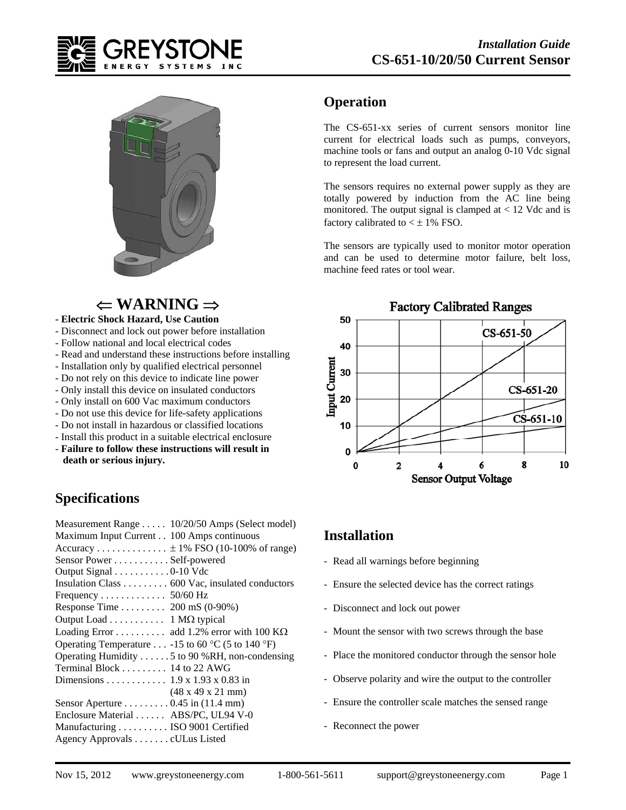



## $\Leftarrow$  WARNING  $\Rightarrow$

#### **- Electric Shock Hazard, Use Caution**

- Disconnect and lock out power before installation
- Follow national and local electrical codes
- Read and understand these instructions before installing
- Installation only by qualified electrical personnel
- Do not rely on this device to indicate line power
- Only install this device on insulated conductors
- Only install on 600 Vac maximum conductors
- Do not use this device for life-safety applications
- Do not install in hazardous or classified locations
- Install this product in a suitable electrical enclosure - **Failure to follow these instructions will result in death or serious injury.**

### **Specifications**

| Measurement Range 10/20/50 Amps (Select model)                           |
|--------------------------------------------------------------------------|
| Maximum Input Current 100 Amps continuous                                |
| Accuracy $\pm$ 1% FSO (10-100% of range)                                 |
| Sensor Power Self-powered                                                |
| Output Signal 0-10 Vdc                                                   |
| Insulation Class $\dots \dots \dots \dots$ 600 Vac, insulated conductors |
|                                                                          |
| Response Time 200 mS (0-90%)                                             |
| Output Load 1 ΜΩ typical                                                 |
| Loading Error add 1.2% error with 100 $K\Omega$                          |
| Operating Temperature -15 to 60 °C (5 to 140 °F)                         |
| Operating Humidity 5 to 90 %RH, non-condensing                           |
| Terminal Block $\dots \dots \dots$ 14 to 22 AWG                          |
| Dimensions 1.9 x 1.93 x 0.83 in                                          |
| $(48 \times 49 \times 21 \text{ mm})$                                    |
| Sensor Aperture 0.45 in (11.4 mm)                                        |
| Enclosure Material ABS/PC, UL94 V-0                                      |
| Manufacturing ISO 9001 Certified                                         |
| Agency Approvals cULus Listed                                            |

### **Operation**

The CS-651-xx series of current sensors monitor line current for electrical loads such as pumps, conveyors, machine tools or fans and output an analog 0-10 Vdc signal to represent the load current.

The sensors requires no external power supply as they are totally powered by induction from the AC line being monitored. The output signal is clamped at  $< 12$  Vdc and is factory calibrated to  $\lt \pm 1\%$  FSO.

The sensors are typically used to monitor motor operation and can be used to determine motor failure, belt loss, machine feed rates or tool wear.



#### **Installation**

- Read all warnings before beginning
- Ensure the selected device has the correct ratings
- Disconnect and lock out power
- Mount the sensor with two screws through the base
- Place the monitored conductor through the sensor hole
- Observe polarity and wire the output to the controller
- Ensure the controller scale matches the sensed range
- Reconnect the power